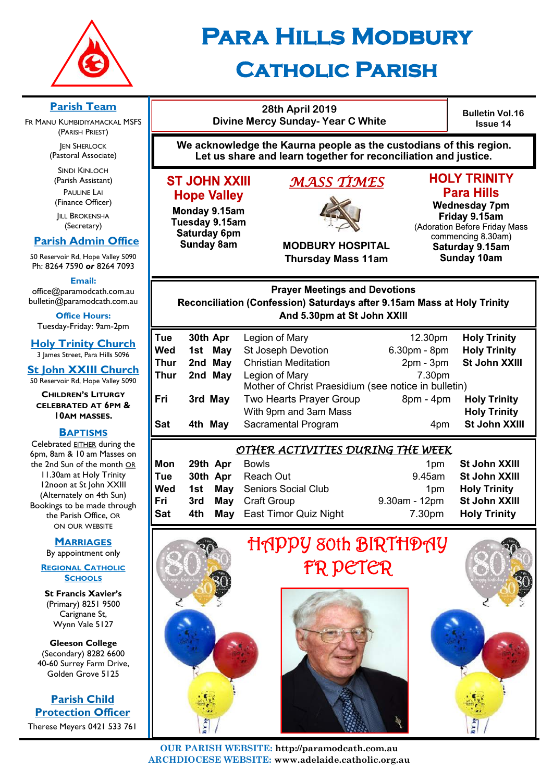

# **Para Hills Modbury**

## **Catholic Parish**

#### **Parish Team**

FR MANU KUMBIDIYAMACKAL MSFS (PARISH PRIEST)

**JEN SHERLOCK** (Pastoral Associate)

SINDI KINLOCH (Parish Assistant) PAULINE LAI (Finance Officer)

**IILL BROKENSHA** (Secretary)

## **Parish Admin Office**

50 Reservoir Rd, Hope Valley 5090 Ph: 8264 7590 *or* 8264 7093

**Email:** 

office@paramodcath.com.au bulletin@paramodcath.com.au

**Office Hours:**  Tuesday-Friday: 9am-2pm

**Holy Trinity Church** 3 James Street, Para Hills 5096

**St John XXIII Church** 50 Reservoir Rd, Hope Valley 5090

**CHILDREN'S LITURGY CELEBRATED AT 6PM & 10AM MASSES.**

#### **BAPTISMS**

Celebrated EITHER during the 6pm, 8am & 10 am Masses on the 2nd Sun of the month OR 11.30am at Holy Trinity 12noon at St John XXIII (Alternately on 4th Sun) Bookings to be made through the Parish Office, OR ON OUR WEBSITE

#### **MARRIAGES**

By appointment only

**REGIONAL CATHOLIC SCHOOLS**

**St Francis Xavier's**  (Primary) 8251 9500 Carignane St, Wynn Vale 5127

#### **Gleeson College**  (Secondary) 8282 6600 40-60 Surrey Farm Drive, Golden Grove 5125

**Parish Child Protection Officer** Therese Meyers 0421 533 761

**28th April 2019 Divine Mercy Sunday- Year C White**

**Bulletin Vol.16 Issue 14**

**We acknowledge the Kaurna people as the custodians of this region. Let us share and learn together for reconciliation and justice.**

## **ST JOHN XXIII Hope Valley**

Monday 9.15am Tuesday 9.15am Saturday 6pm **Sunday 8am** 

## *MASS TIMES*



**MODBURY HOSPITAL Thursday Mass 11am**

#### **Wednesday 7pm** Friday 9.15am (Adoration Before Friday Mass

**HOLY TRINITY** 

**Para Hills** 

commencing 8.30am) Saturday 9.15am **Sunday 10am** 

**Prayer Meetings and Devotions** Reconciliation (Confession) Saturdays after 9.15am Mass at Holy Trinity And 5.30pm at St John XXIII

| Tue        | 30th Apr | Legion of Mary                                       | 12.30pm      | <b>Holy Trinity</b> |
|------------|----------|------------------------------------------------------|--------------|---------------------|
| Wed        | 1st May  | <b>St Joseph Devotion</b>                            | 6.30pm - 8pm | <b>Holy Trinity</b> |
| Thur       | 2nd May  | <b>Christian Meditation</b>                          | $2pm - 3pm$  | St John XXIII       |
| Thur       | 2nd May  | Legion of Mary                                       | 7.30pm       |                     |
|            |          | Mother of Christ Praesidium (see notice in bulletin) |              |                     |
| Fri        | 3rd May  | Two Hearts Prayer Group                              | $8pm - 4pm$  | <b>Holy Trinity</b> |
|            |          | With 9pm and 3am Mass                                |              | <b>Holy Trinity</b> |
| <b>Sat</b> | 4th May  | Sacramental Program                                  | 4pm          | St John XXIII       |
|            |          |                                                      |              |                     |

## *OTHER ACTIVITIES DURING THE WEEK*

| Mon | <b>29th Apr</b> Bowls |                                    |                             | 1pm St John XXIII   |
|-----|-----------------------|------------------------------------|-----------------------------|---------------------|
| Tue |                       | <b>30th Apr</b> Reach Out          | 9.45am                      | St John XXIII       |
| Wed |                       | <b>1st May Seniors Social Club</b> | 1 <sub>pm</sub>             | <b>Holy Trinity</b> |
| Fri |                       | <b>3rd May Craft Group</b>         | 9.30am - 12pm St John XXIII |                     |
| Sat |                       | 4th May East Timor Quiz Night      | 7.30pm                      | <b>Holy Trinity</b> |



**OUR PARISH WEBSITE: http://paramodcath.com.au ARCHDIOCESE WEBSITE: www.adelaide.catholic.org.au**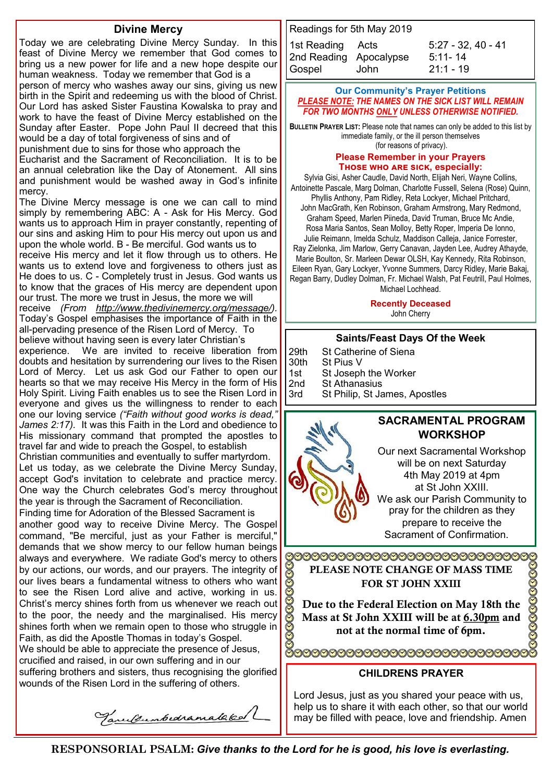#### **Divine Mercy**

Today we are celebrating Divine Mercy Sunday. In this feast of Divine Mercy we remember that God comes to bring us a new power for life and a new hope despite our human weakness. Today we remember that God is a person of mercy who washes away our sins, giving us new birth in the Spirit and redeeming us with the blood of Christ. Our Lord has asked Sister Faustina Kowalska to pray and work to have the feast of Divine Mercy established on the Sunday after Easter. Pope John Paul II decreed that this would be a day of total forgiveness of sins and of punishment due to sins for those who approach the Eucharist and the Sacrament of Reconciliation. It is to be an annual celebration like the Day of Atonement. All sins and punishment would be washed away in God's infinite mercy. The Divine Mercy message is one we can call to mind simply by remembering ABC: A - Ask for His Mercy. God wants us to approach Him in prayer constantly, repenting of our sins and asking Him to pour His mercy out upon us and upon the whole world. B - Be merciful. God wants us to receive His mercy and let it flow through us to others. He wants us to extend love and forgiveness to others just as He does to us. C - Completely trust in Jesus. God wants us to know that the graces of His mercy are dependent upon our trust. The more we trust in Jesus, the more we will receive *(From [http://www.thedivinemercy.org/message/\).](http://www.thedivinemercy.org/message/)*  Today's Gospel emphasises the importance of Faith in the all-pervading presence of the Risen Lord of Mercy. To believe without having seen is every later Christian's experience. We are invited to receive liberation from doubts and hesitation by surrendering our lives to the Risen Lord of Mercy. Let us ask God our Father to open our hearts so that we may receive His Mercy in the form of His Holy Spirit. Living Faith enables us to see the Risen Lord in everyone and gives us the willingness to render to each one our loving service *("Faith without good works is dead," James 2:17).* It was this Faith in the Lord and obedience to His missionary command that prompted the apostles to travel far and wide to preach the Gospel, to establish Christian communities and eventually to suffer martyrdom. Let us today, as we celebrate the Divine Mercy Sunday, accept God's invitation to celebrate and practice mercy. One way the Church celebrates God's mercy throughout the year is through the Sacrament of Reconciliation. Finding time for Adoration of the Blessed Sacrament is another good way to receive Divine Mercy. The Gospel command, "Be merciful, just as your Father is merciful," demands that we show mercy to our fellow human beings always and everywhere. We radiate God's mercy to others by our actions, our words, and our prayers. The integrity of our lives bears a fundamental witness to others who want to see the Risen Lord alive and active, working in us. Christ's mercy shines forth from us whenever we reach out to the poor, the needy and the marginalised. His mercy shines forth when we remain open to those who struggle in Faith, as did the Apostle Thomas in today's Gospel. We should be able to appreciate the presence of Jesus, crucified and raised, in our own suffering and in our suffering brothers and sisters, thus recognising the glorified wounds of the Risen Lord in the suffering of others.

Tanulumbedramalaked

Readings for 5th May 2019 1st Reading Acts 5:27 - 32, 40 - 41 2nd Reading Apocalypse [5:11](javascript:expandDetail(%22reading%22,%22SR%22,%22N04ORSUC%22,%20%22right_content_middle%22,%22%22);)- 14 Gospel John 21:1 - 19

#### **Our Community's Prayer Petitions**  *PLEASE NOTE: THE NAMES ON THE SICK LIST WILL REMAIN FOR TWO MONTHS ONLY UNLESS OTHERWISE NOTIFIED.*

**BULLETIN PRAYER LIST:** Please note that names can only be added to this list by immediate family, or the ill person themselves (for reasons of privacy).

**Please Remember in your Prayers** THOSE WHO ARE SICK, especially:

Sylvia Gisi, Asher Caudle, David North, Elijah Neri, Wayne Collins, Antoinette Pascale, Marg Dolman, Charlotte Fussell, Selena (Rose) Quinn, Phyllis Anthony, Pam Ridley, Reta Lockyer, Michael Pritchard, John MacGrath, Ken Robinson, Graham Armstrong, Mary Redmond, Graham Speed, Marlen Piineda, David Truman, Bruce Mc Andie, Rosa Maria Santos, Sean Molloy, Betty Roper, Imperia De Ionno, Julie Reimann, Imelda Schulz, Maddison Calleja, Janice Forrester, Ray Zielonka, Jim Marlow, Gerry Canavan, Jayden Lee, Audrey Athayde, Marie Boulton, Sr. Marleen Dewar OLSH, Kay Kennedy, Rita Robinson, Eileen Ryan, Gary Lockyer, Yvonne Summers, Darcy Ridley, Marie Bakaj, Regan Barry, Dudley Dolman, Fr. Michael Walsh, Pat Feutrill, Paul Holmes, Michael Lochhead.

#### **Recently Deceased**

John Cherry

#### **Saints/Feast Days Of the Week**

29th St Catherine of Siena 30th St Pius V 1st St Joseph the Worker

2nd St Athanasius

3rd St Philip, St James, Apostles



Sacrament of Confirmation.

990099999999999999999999999999 PLEASE NOTE CHANGE OF MASS TIME FOR ST JOHN XXIII

Due to the Federal Election on May 18th the Mass at St John XXIII will be at 6.30pm and not at the normal time of 6pm.

#### **CHILDRENS PRAYER**

Lord Jesus, just as you shared your peace with us, help us to share it with each other, so that our world may be filled with peace, love and friendship. Amen

**RESPONSORIAL PSALM:** *Give thanks to the Lord for he is good, his love is everlasting.*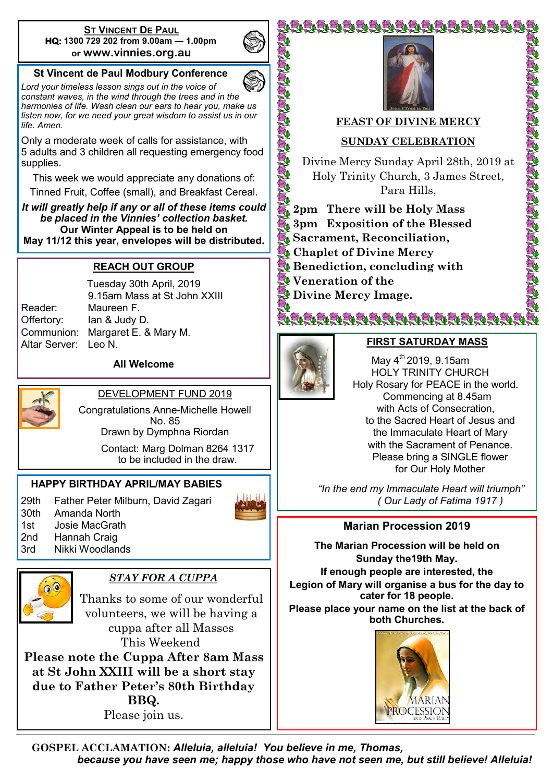#### **ST VINCENT DE PAUL HQ: 1300 729 202 from 9.00am — 1.00pm or www.vinnies.org.au**

## **St Vincent de Paul Modbury Conference**

*Lord your timeless lesson sings out in the voice of constant waves, in the wind through the trees and in the harmonies of life. Wash clean our ears to hear you, make us listen now, for we need your great wisdom to assist us in our life. Amen.*

Only a moderate week of calls for assistance, with 5 adults and 3 children all requesting emergency food supplies.

This week we would appreciate any donations of: Tinned Fruit, Coffee (small), and Breakfast Cereal.

*It will greatly help if any or all of these items could be placed in the Vinnies' collection basket.*  **Our Winter Appeal is to be held on May 11/12 this year, envelopes will be distributed.**

#### **REACH OUT GROUP**

Altar Server: Leo N.

Tuesday 30th April, 2019 9.15am Mass at St John XXIII Reader: Maureen F. Offertory: Ian & Judy D. Communion: Margaret E. & Mary M.

**All Welcome**



DEVELOPMENT FUND 2019

Congratulations Anne-Michelle Howell No. 85 Drawn by Dymphna Riordan Contact: Marg Dolman 8264 1317

to be included in the draw.

## **HAPPY BIRTHDAY APRIL/MAY BABIES**

29th Father Peter Milburn, David Zagari 30th Amanda North 1st Josie MacGrath





2nd Hannah Craig 3rd Nikki Woodlands

## *STAY FOR A CUPPA*

Thanks to some of our wonderful volunteers, we will be having a cuppa after all Masses This Weekend

**Please note the Cuppa After 8am Mass at St John XXIII will be a short stay due to Father Peter's 80th Birthday BBQ.** Please join us.



ĔŧĔŧĔŧĔŧĔŧĔŧĔŧĔŧĔŧĔŧĔŧĔŧĔŧĔŧĔŧĔŧ

## **FEAST OF DIVINE MERCY**

## **SUNDAY CELEBRATION**

Divine Mercy Sunday April 28th, 2019 at Holy Trinity Church, 3 James Street, Para Hills,

A SAN A SAN A SAN A SAN A SAN AIREAN

- **2pm There will be Holy Mass 3pm Exposition of the Blessed Sacrament, Reconciliation, Chaplet of Divine Mercy Benediction, concluding with Veneration of the**
- **Divine Mercy Image.**



**CONSTRUCTION** 

Ę1

#### **FIRST SATURDAY MASS**

ŇĔŧĔŧĔŧĔĸĔĸĔŧĔŧĔŧĔŧĔŧĔŧĔŧĔŧĔŧĔŧ

May  $4^{th}$  2019, 9.15am HOLY TRINITY CHURCH Holy Rosary for PEACE in the world. Commencing at 8.45am with Acts of Consecration, to the Sacred Heart of Jesus and the Immaculate Heart of Mary with the Sacrament of Penance. Please bring a SINGLE flower for Our Holy Mother

 *"In the end my Immaculate Heart will triumph" ( Our Lady of Fatima 1917 )*

**Marian Procession 2019**

**The Marian Procession will be held on Sunday the19th May. If enough people are interested, the Legion of Mary will organise a bus for the day to cater for 18 people. Please place your name on the list at the back of both Churches.** 



**GOSPEL ACCLAMATION:** *Alleluia, alleluia! You believe in me, Thomas, because you have seen me; happy those who have not seen me, but still believe! Alleluia!*